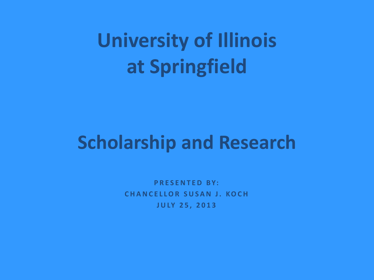# **University of Illinois at Springfield**

#### **Scholarship and Research**

**P R E S E N T E D B Y: C H A N C E L L O R S U S A N J . K O C H J U LY 2 5 , 2 0 1 3**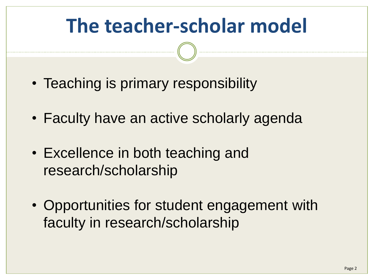# **The teacher-scholar model**

- Teaching is primary responsibility
- Faculty have an active scholarly agenda
- Excellence in both teaching and research/scholarship
- Opportunities for student engagement with faculty in research/scholarship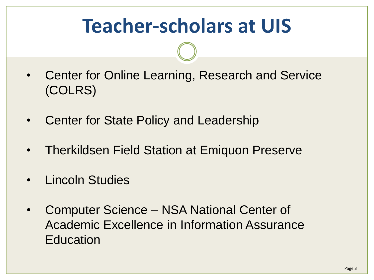# **Teacher-scholars at UIS**

- Center for Online Learning, Research and Service (COLRS)
- Center for State Policy and Leadership
- Therkildsen Field Station at Emiquon Preserve
- Lincoln Studies
- Computer Science NSA National Center of Academic Excellence in Information Assurance **Education**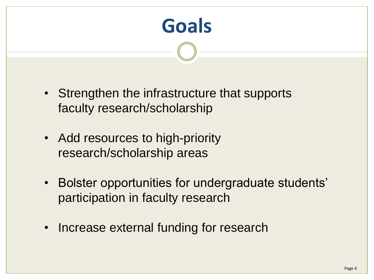

- Strengthen the infrastructure that supports faculty research/scholarship
- Add resources to high-priority research/scholarship areas
- Bolster opportunities for undergraduate students' participation in faculty research
- Increase external funding for research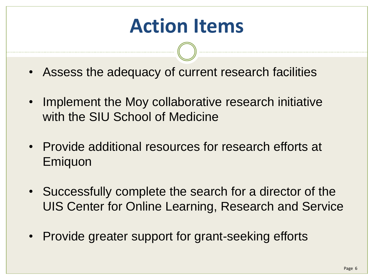### **Action Items**

- Assess the adequacy of current research facilities
- Implement the Moy collaborative research initiative with the SIU School of Medicine
- Provide additional resources for research efforts at **Emiguon**
- Successfully complete the search for a director of the UIS Center for Online Learning, Research and Service
- Provide greater support for grant-seeking efforts